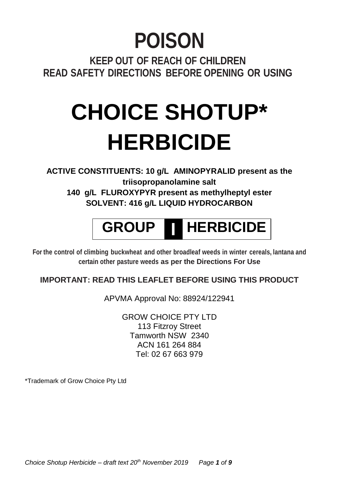# **POISON**

**KEEP OUT OF REACH OF CHILDREN READ SAFETY DIRECTIONS BEFORE OPENING OR USING**

# **CHOICE SHOTUP\* HERBICIDE**

**ACTIVE CONSTITUENTS: 10 g/L AMINOPYRALID present as the triisopropanolamine salt 140 g/L FLUROXYPYR present as methylheptyl ester SOLVENT: 416 g/L LIQUID HYDROCARBON**

# **GROUP I HERBICIDE**

**For the control of climbing buckwheat and other broadleaf weeds in winter cereals, lantana and certain other pasture weeds as per the Directions For Use**

# **IMPORTANT: READ THIS LEAFLET BEFORE USING THIS PRODUCT**

APVMA Approval No: 88924/122941

GROW CHOICE PTY LTD 113 Fitzroy Street Tamworth NSW 2340 ACN 161 264 884 Tel: 02 67 663 979

\*Trademark of Grow Choice Pty Ltd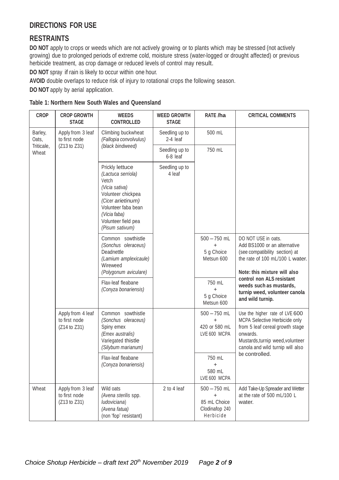# **DIRECTIONS FOR USE**

# **RESTRAINTS**

**DO NOT** apply to crops or weeds which are not actively growing or to plants which may be stressed (not actively growing) due to prolonged periods of extreme cold, moisture stress (water-logged or drought affected) or previous herbicide treatment, as crop damage or reduced levels of control may result.

**DO NOT** spray if rain is likely to occur within one hour.

**AVOID** double overlaps to reduce risk of injury to rotational crops the following season.

**DO NOT** apply by aerial application.

| Table 1: Northern New South Wales and Queensland |  |  |  |  |  |
|--------------------------------------------------|--|--|--|--|--|
|--------------------------------------------------|--|--|--|--|--|

| <b>CROP</b>         | <b>CROP GROWTH</b><br><b>STAGE</b>                 | <b>WEEDS</b><br><b>CONTROLLED</b>                                                                                                                                                            | <b>WEED GROWTH</b><br><b>STAGE</b> | RATE /ha                                                                   | <b>CRITICAL COMMENTS</b>                                                                                                                                                               |
|---------------------|----------------------------------------------------|----------------------------------------------------------------------------------------------------------------------------------------------------------------------------------------------|------------------------------------|----------------------------------------------------------------------------|----------------------------------------------------------------------------------------------------------------------------------------------------------------------------------------|
| Barley,<br>Oats,    | Apply from 3 leaf<br>to first node                 | Climbing buckwheat<br>(Fallopia convolvulus)                                                                                                                                                 | Seedling up to<br>2-4 leaf         | 500 mL                                                                     |                                                                                                                                                                                        |
| Triticale,<br>Wheat | (Z13 to Z31)                                       | (black bindweed)                                                                                                                                                                             | Seedling up to<br>6-8 leaf         | 750 mL                                                                     |                                                                                                                                                                                        |
|                     |                                                    | Prickly lettuce<br>(Lactuca serriola)<br>Vetch<br>(Vicia sativa)<br>Volunteer chickpea<br>(Cicer arietinum)<br>Volunteer faba bean<br>(Vicia faba)<br>Volunteer field pea<br>(Pisum sativum) | Seedling up to<br>4 leaf           |                                                                            |                                                                                                                                                                                        |
|                     |                                                    | Common sowthistle<br>(Sonchus oleraceus)<br>Deadnettle<br>(Lamium amplexicaule)<br>Wireweed<br>(Polygonum aviculare)                                                                         |                                    | $500 - 750$ mL<br>5 g Choice<br>Metsun 600                                 | DO NOT USE in oats.<br>Add BS1000 or an alternative<br>(see compatibility section) at<br>the rate of 100 mL/100 L water.<br>Note: this mixture will also                               |
|                     |                                                    | Flax-leaf fleabane<br>(Conyza bonariensis)                                                                                                                                                   |                                    | 750 mL<br>$\ddot{}$<br>5 q Choice<br>Metsun 600                            | control non ALS resistant<br>weeds such as mustards.<br>turnip weed, volunteer canola<br>and wild turnip.                                                                              |
|                     | Apply from 4 leaf<br>to first node<br>(Z14 to Z31) | Common sowthistle<br>(Sonchus oleraceus)<br>Spiny emex<br>(Emex australis)<br>Variegated thistle<br>(Silybum marianum)                                                                       |                                    | $500 - 750$ mL<br>$+$<br>420 or 580 mL<br>LVE 600 MCPA                     | Use the higher rate of LVE 600<br>MCPA Selective Herbicide only<br>from 5 leaf cereal growth stage<br>onwards.<br>Mustards, turnip weed, volunteer<br>canola and wild turnip will also |
|                     |                                                    | Flax-leaf fleabane<br>(Conyza bonariensis)                                                                                                                                                   |                                    | 750 mL<br>$\ddot{}$<br>580 mL<br>LVE 600 MCPA                              | be controlled.                                                                                                                                                                         |
| Wheat               | Apply from 3 leaf<br>to first node<br>(Z13 to Z31) | Wild oats<br>(Avena sterilis spp.<br>ludoviciana)<br>(Avena fatua)<br>(non 'fop' resistant)                                                                                                  | 2 to 4 leaf                        | $500 - 750$ mL<br>$\ddot{}$<br>85 mL Choice<br>Clodinafop 240<br>Herbicide | Add Take-Up Spreader and Wetter<br>at the rate of 500 mL/100 L<br>water.                                                                                                               |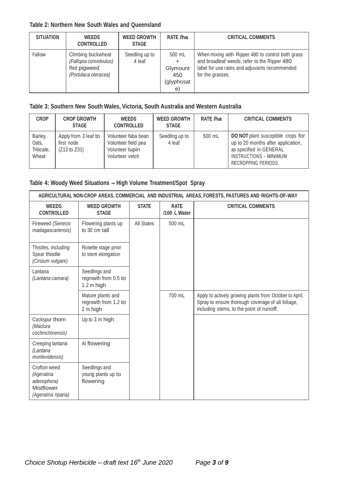#### **Table 2: Northern New South Wales and Queensland**

| <b>SITUATION</b> | <b>WEEDS</b><br><b>CONTROLLED</b>                                                   | <b>WEED GROWTH</b><br><b>STAGE</b> | RATE /ha                                      | <b>CRITICAL COMMENTS</b>                                                                                                                                               |
|------------------|-------------------------------------------------------------------------------------|------------------------------------|-----------------------------------------------|------------------------------------------------------------------------------------------------------------------------------------------------------------------------|
| Fallow           | Climbing buckwheat<br>(Fallopia convolvulus)<br>Red pigweed<br>(Portulaca oleracea) | Seedling up to<br>4 leaf           | 500 mL<br>Glymount<br>450<br>(glyphosat<br>e) | When mixing with Ripper 480 to control both grass<br>and broadleaf weeds, refer to the Ripper 480<br>label for use rates and adjuvants recommended<br>for the grasses. |

# **Table 3: Southern New South Wales, Victoria, South Australia and Western Australia**

| <b>CROP</b>                             | <b>CROP GROWTH</b><br><b>STAGE</b>                 | <b>WEEDS</b><br><b>CONTROLLED</b>                                                | <b>WEED GROWTH</b><br><b>STAGE</b> | RATE /ha | <b>CRITICAL COMMENTS</b>                                                                                                                             |
|-----------------------------------------|----------------------------------------------------|----------------------------------------------------------------------------------|------------------------------------|----------|------------------------------------------------------------------------------------------------------------------------------------------------------|
| Barley,<br>Oats.<br>Triticale,<br>Wheat | Apply from 3 leaf to<br>first node<br>(Z13 to Z31) | Volunteer faba bean<br>Volunteer field pea<br>Volunteer lupin<br>Volunteer vetch | Seedling up to<br>4 leaf           | 500 mL   | DO NOT plant susceptible crops for<br>up to 20 months after application,<br>as specified in GENERAL<br>INSTRUCTIONS - MINIMUM<br>RECROPPING PERIODS. |

# **Table 4: Woody Weed Situations – High Volume Treatment/Spot Spray**

| AGRICULTURAL NON-CROP AREAS, COMMERCIAL AND INDUSTRIAL AREAS, FORESTS, PASTURES AND RIGHTS-OF-WAY |                                                       |              |                             |                                                                                                                                                          |  |
|---------------------------------------------------------------------------------------------------|-------------------------------------------------------|--------------|-----------------------------|----------------------------------------------------------------------------------------------------------------------------------------------------------|--|
| <b>WEEDS</b><br><b>CONTROLLED</b>                                                                 | <b>WEED GROWTH</b><br><b>STAGE</b>                    | <b>STATE</b> | <b>RATE</b><br>/100 L Water | <b>CRITICAL COMMENTS</b>                                                                                                                                 |  |
| Fireweed (Senecio<br>madagascariensis)                                                            | Flowering plants up<br>to 30 cm tall                  | All States   | 500 mL                      |                                                                                                                                                          |  |
| Thistles, including<br>Spear thistle<br>(Cirsium vulgare)                                         | Rosette stage prior<br>to stem elongation             |              |                             |                                                                                                                                                          |  |
| Lantana<br>(Lantana camara)                                                                       | Seedlings and<br>regrowth from 0.5 to<br>$1.2m$ high  |              |                             |                                                                                                                                                          |  |
|                                                                                                   | Mature plants and<br>regrowth from 1.2 to<br>2 m high |              | 700 mL                      | Apply to actively growing plants from October to April.<br>Spray to ensure thorough coverage of all foliage,<br>including stems, to the point of runoff. |  |
| Cockspur thorn<br>(Maclura<br>cochinchinensis)                                                    | Up to 3 m high                                        |              |                             |                                                                                                                                                          |  |
| Creeping lantana<br>(Lantana<br>montevidensis)                                                    | At flowering                                          |              |                             |                                                                                                                                                          |  |
| Crofton weed<br>(Ageratina<br>adenophora)<br>Mistflower<br>(Ageratina riparia)                    | Seedlings and<br>young plants up to<br>flowering      |              |                             |                                                                                                                                                          |  |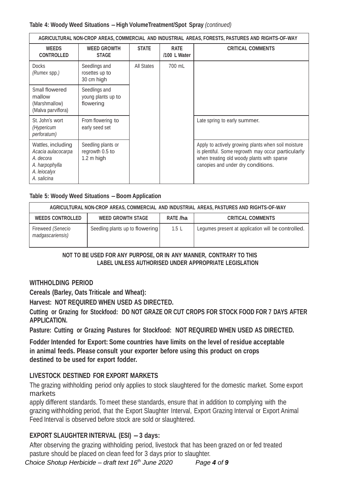#### **Table 4: Woody Weed Situations – High VolumeTreatment/Spot Spray** *(continued)*

| AGRICULTURAL NON-CROP AREAS, COMMERCIAL AND INDUSTRIAL AREAS, FORESTS, PASTURES AND RIGHTS-OF-WAY      |                                                      |              |                             |                                                                                                                                                                                               |  |
|--------------------------------------------------------------------------------------------------------|------------------------------------------------------|--------------|-----------------------------|-----------------------------------------------------------------------------------------------------------------------------------------------------------------------------------------------|--|
| <b>WEEDS</b><br><b>CONTROLLED</b>                                                                      | <b>WEED GROWTH</b><br><b>STAGE</b>                   | <b>STATE</b> | <b>RATE</b><br>/100 L Water | <b>CRITICAL COMMENTS</b>                                                                                                                                                                      |  |
| <b>Docks</b><br>(Rumex spp.)                                                                           | Seedlings and<br>rosettes up to<br>30 cm high        | All States   | 700 mL                      |                                                                                                                                                                                               |  |
| Small flowered<br>mallow<br>(Marshmallow)<br>(Malva parviflora)                                        | Seedlings and<br>young plants up to<br>flowering     |              |                             |                                                                                                                                                                                               |  |
| St. John's wort<br>(Hypericum<br>perforatum)                                                           | From flowering to<br>early seed set                  |              |                             | Late spring to early summer.                                                                                                                                                                  |  |
| Wattles, including<br>Acacia aulacocarpa<br>A. decora<br>A. harpophylla<br>A. leiocalyx<br>A. salicina | Seedling plants or<br>regrowth 0.5 to<br>$1.2m$ high |              |                             | Apply to actively growing plants when soil moisture<br>is plentiful. Some regrowth may occur particularly<br>when treating old woody plants with sparse<br>canopies and under dry conditions. |  |

#### **Table 5: Woody Weed Situations – Boom Application**

| AGRICULTURAL NON-CROP AREAS, COMMERCIAL AND INDUSTRIAL AREAS, PASTURES AND RIGHTS-OF-WAY |                                 |          |                                                    |  |  |
|------------------------------------------------------------------------------------------|---------------------------------|----------|----------------------------------------------------|--|--|
| <b>WEEDS CONTROLLED</b>                                                                  | <b>WEED GROWTH STAGE</b>        | RATE /ha | <b>CRITICAL COMMENTS</b>                           |  |  |
| Fireweed (Senecio<br>madgascariensis)                                                    | Seedling plants up to flowering | 1.5L     | Legumes present at application will be controlled. |  |  |

#### **NOT TO BE USED FOR ANY PURPOSE, OR IN ANY MANNER, CONTRARY TO THIS LABEL UNLESS AUTHORISED UNDER APPROPRIATE LEGISLATION**

#### **WITHHOLDING PERIOD**

**Cereals (Barley, Oats Triticale and Wheat):**

**Harvest: NOT REQUIRED WHEN USED AS DIRECTED.**

**Cutting or Grazing for Stockfood: DO NOT GRAZE OR CUT CROPS FOR STOCK FOOD FOR 7 DAYS AFTER APPLICATION.**

**Pasture: Cutting or Grazing Pastures for Stockfood: NOT REQUIRED WHEN USED AS DIRECTED.**

**Fodder Intended for Export: Some countries have limits on the level of residue acceptable in animal feeds. Please consult your exporter before using this product on crops destined to be used for export fodder.**

#### **LIVESTOCK DESTINED FOR EXPORT MARKETS**

The grazing withholding period only applies to stock slaughtered for the domestic market. Some export markets

apply different standards. To meet these standards, ensure that in addition to complying with the grazing withholding period, that the Export Slaughter Interval, Export Grazing Interval or Export Animal Feed Interval is observed before stock are sold or slaughtered.

# **EXPORT SLAUGHTER INTERVAL (ESI) – 3 days:**

After observing the grazing withholding period, livestock that has been grazed on or fed treated pasture should be placed on clean feed for 3 days prior to slaughter.

*Choice Shotup Herbicide – draft text 16th June 2020 Page 4 of 9* Page **4** of **9**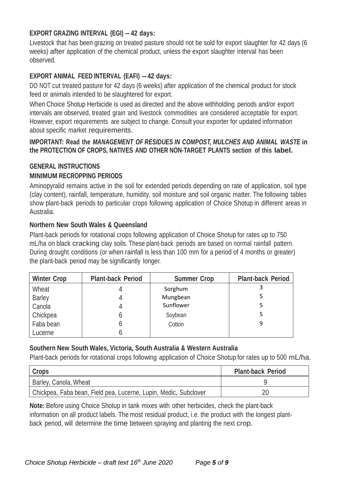# **EXPORT GRAZING INTERVAL (EGI) – 42 days:**

Livestock that has been grazing on treated pasture should not be sold for export slaughter for 42 days (6 weeks) after application of the chemical product, unless the export slaughter interval has been observed.

# **EXPORT ANIMAL FEED INTERVAL (EAFI) – 42 days:**

DO NOT cut treated pasture for 42 days (6 weeks) after application of the chemical product for stock feed or animals intended to be slaughtered for export.

When Choice Shotup Herbicide is used as directed and the above withholding periods and/or export intervals are observed, treated grain and livestock commodities are considered acceptable for export. However, export requirements are subject to change. Consult your exporter for updated information about specific market requirements.

#### **IMPORTANT: Read the** *MANAGEMENT OF RESIDUES IN COMPOST, MULCHES AND ANIMAL WASTE* **in the PROTECTION OF CROPS, NATIVES AND OTHER NON-TARGET PLANTS section of this label.**

# **GENERAL INSTRUCTIONS MINIMUM RECROPPING PERIODS**

Aminopyralid remains active in the soil for extended periods depending on rate of application, soil type (clay content), rainfall, temperature, humidity, soil moisture and soil organic matter. The following tables show plant-back periods to particular crops following application of Choice Shotup in different areas in Australia.

# **Northern New South Wales & Queensland**

Plant-back periods for rotational crops following application of Choice Shotup for rates up to 750 mL/ha on black cracking clay soils. These plant-back periods are based on normal rainfall pattern. During drought conditions (or when rainfall is less than 100 mm for a period of 4 months or greater) the plant-back period may be significantly longer.

| <b>Winter Crop</b> | <b>Plant-back Period</b> | <b>Summer Crop</b> | <b>Plant-back Period</b> |
|--------------------|--------------------------|--------------------|--------------------------|
| Wheat              |                          | Sorghum            |                          |
| Barley             |                          | Mungbean           |                          |
| Canola             |                          | Sunflower          |                          |
| Chickpea           | h                        | Soybean            |                          |
| Faba bean          | h                        | Cotton             | 9                        |
| Lucerne            |                          |                    |                          |

# **Southern New South Wales, Victoria, South Australia & Western Australia**

Plant-back periods for rotational crops following application of Choice Shotup for rates up to 500 mL/ha.

| <b>Crops</b>                                                     | <b>Plant-back Period</b> |
|------------------------------------------------------------------|--------------------------|
| Barley, Canola, Wheat                                            |                          |
| Chickpea, Faba bean, Field pea, Lucerne, Lupin, Medic, Subclover |                          |

**Note:** Before using Choice Shotup in tank mixes with other herbicides, check the plant-back information on all product labels. The most residual product, i.e. the product with the longest plantback period, will determine the time between spraying and planting the next crop.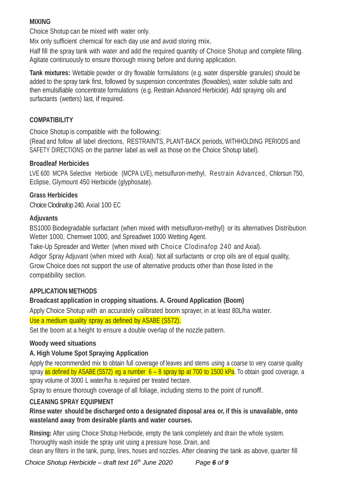# **MIXING**

Choice Shotup can be mixed with water only.

Mix only sufficient chemical for each day use and avoid storing mix.

Half fill the spray tank with water and add the required quantity of Choice Shotup and complete filling. Agitate continuously to ensure thorough mixing before and during application.

**Tank mixtures:** Wettable powder or dry flowable formulations (e.g. water dispersible granules) should be added to the spray tank first, followed by suspension concentrates (flowables), water soluble salts and then emulsifiable concentrate formulations (e.g. Restrain Advanced Herbicide). Add spraying oils and surfactants (wetters) last, if required.

# **COMPATIBILITY**

Choice Shotup is compatible with the following:

(Read and follow all label directions, RESTRAINTS, PLANT-BACK periods, WITHHOLDING PERIODS and SAFETY DIRECTIONS on the partner label as well as those on the Choice Shotup label).

## **Broadleaf Herbicides**

LVE 600 MCPA Selective Herbicide (MCPA LVE), metsulfuron-methyl, Restrain Advanced, Chlorsun 750, Eclipse, Glymount 450 Herbicide (glyphosate).

# **Grass Herbicides**

Choice Clodinafop 240, Axial 100 EC

## **Adjuvants**

BS1000 Biodegradable surfactant (when mixed with metsulfuron-methyl) or its alternatives Distribution Wetter 1000, Chemwet 1000, and Spreadwet 1000 Wetting Agent.

Take-Up Spreader and Wetter (when mixed with Choice Clodinafop 240 and Axial).

Adigor Spray Adjuvant (when mixed with Axial). Not all surfactants or crop oils are of equal quality, Grow Choice does not support the use of alternative products other than those listed in the compatibility section.

# **APPLICATION METHODS**

# **Broadcast application in cropping situations. A. Ground Application (Boom)**

Apply Choice Shotup with an accurately calibrated boom sprayer, in at least 80L/ha water. Use a medium quality spray as defined by ASABE (S572).

Set the boom at a height to ensure a double overlap of the nozzle pattern.

#### **Woody weed situations**

# **A. High Volume Spot Spraying Application**

Apply the recommended mix to obtain full coverage of leaves and stems using a coarse to very coarse quality spray as defined by ASABE (S572) eg a number  $6 - 8$  spray tip at 700 to 1500 kPa. To obtain good coverage, a spray volume of 3000 L water/ha is required per treated hectare.

Spray to ensure thorough coverage of all foliage, including stems to the point of runoff.

# **CLEANING SPRAY EQUIPMENT**

**Rinse water should be discharged onto a designated disposal area or, if this is unavailable, onto wasteland away from desirable plants and water courses.**

**Rinsing:** After using Choice Shotup Herbicide, empty the tank completely and drain the whole system. Thoroughly wash inside the spray unit using a pressure hose. Drain, and clean any filters in the tank, pump, lines, hoses and nozzles. After cleaning the tank as above, quarter fill

*Choice Shotup Herbicide – draft text 16th June 2020 Page 6 of 9* Page **6** of **9**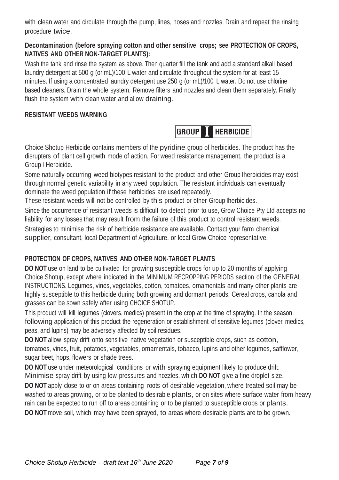with clean water and circulate through the pump, lines, hoses and nozzles. Drain and repeat the rinsing procedure twice.

## **Decontamination (before spraying cotton and other sensitive crops; see PROTECTION OF CROPS, NATIVES AND OTHER NON-TARGET PLANTS):**

Wash the tank and rinse the system as above. Then quarter fill the tank and add a standard alkali based laundry detergent at 500 g (or mL)/100 L water and circulate throughout the system for at least 15 minutes. If using a concentrated laundry detergent use 250 g (or mL)/100 L water. Do not use chlorine based cleaners. Drain the whole system. Remove filters and nozzles and clean them separately. Finally flush the system with clean water and allow draining.

# **RESISTANT WEEDS WARNING**

**GROUP THERBICIDE** 

Choice Shotup Herbicide contains members of the pyridine group of herbicides. The product has the disrupters of plant cell growth mode of action. For weed resistance management, the product is a Group I Herbicide.

Some naturally-occurring weed biotypes resistant to the product and other Group Iherbicides may exist through normal genetic variability in any weed population. The resistant individuals can eventually dominate the weed population if these herbicides are used repeatedly.

These resistant weeds will not be controlled by this product or other Group Iherbicides.

Since the occurrence of resistant weeds is difficult to detect prior to use, Grow Choice Pty Ltd accepts no liability for any losses that may result from the failure of this product to control resistant weeds. Strategies to minimise the risk of herbicide resistance are available. Contact your farm chemical supplier, consultant, local Department of Agriculture, or local Grow Choice representative.

# **PROTECTION OF CROPS, NATIVES AND OTHER NON-TARGET PLANTS**

**DO NOT** use on land to be cultivated for growing susceptible crops for up to 20 months of applying Choice Shotup, except where indicated in the MINIMUM RECROPPING PERIODS section of the GENERAL INSTRUCTIONS. Legumes, vines, vegetables, cotton, tomatoes, ornamentals and many other plants are highly susceptible to this herbicide during both growing and dormant periods. Cereal crops, canola and grasses can be sown safely after using CHOICE SHOTUP.

This product will kill legumes (clovers, medics) present in the crop at the time of spraying. In the season, following application of this product the regeneration or establishment of sensitive legumes (clover, medics, peas, and lupins) may be adversely affected by soil residues.

**DO NOT** allow spray drift onto sensitive native vegetation or susceptible crops, such as cotton, tomatoes, vines, fruit, potatoes, vegetables, ornamentals, tobacco, lupins and other legumes, safflower, sugar beet, hops, flowers or shade trees.

**DO NOT** use under meteorological conditions or with spraying equipment likely to produce drift. Minimise spray drift by using low pressures and nozzles, which **DO NOT** give a fine droplet size.

**DO NOT** apply close to or on areas containing roots of desirable vegetation, where treated soil may be washed to areas growing, or to be planted to desirable plants, or on sites where surface water from heavy rain can be expected to run off to areas containing or to be planted to susceptible crops or plants. **DO NOT** move soil, which may have been sprayed, to areas where desirable plants are to be grown.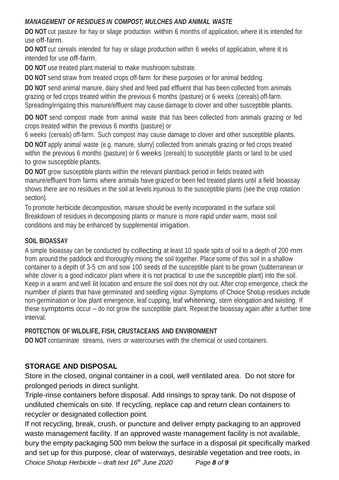# *MANAGEMENT OF RESIDUES IN COMPOST, MULCHES AND ANIMAL WASTE*

**DO NOT** cut pasture for hay or silage production within 6 months of application, where it is intended for use off-farm.

**DO NOT** cut cereals intended for hay or silage production within 6 weeks of application, where it is intended for use off-farm.

**DO NOT** use treated plant material to make mushroom substrate.

**DO NOT** send straw from treated crops off-farm for these purposes or for animal bedding.

**DO NOT** send animal manure, dairy shed and feed pad effluent that has been collected from animals grazing or fed crops treated within the previous 6 months (pasture) or 6 weeks (cereals) off-farm. Spreading/irrigating this manure/effluent may cause damage to clover and other susceptible plants.

**DO NOT** send compost made from animal waste that has been collected from animals grazing or fed crops treated within the previous 6 months (pasture) or

6 weeks (cereals) off-farm. Such compost may cause damage to clover and other susceptible plants.

**DO NOT** apply animal waste (e.g. manure, slurry) collected from animals grazing or fed crops treated within the previous 6 months (pasture) or 6 weeks (cereals) to susceptible plants or land to be used to grow susceptible plants.

**DO NOT** grow susceptible plants within the relevant plantback period in fields treated with manure/effluent from farms where animals have grazed or been fed treated plants until a field bioassay shows there are no residues in the soil at levels injurious to the susceptible plants (see the crop rotation section).

To promote herbicide decomposition, manure should be evenly incorporated in the surface soil. Breakdown of residues in decomposing plants or manure is more rapid under warm, moist soil conditions and may be enhanced by supplemental irrigation.

# **SOIL BIOASSAY**

A simple bioassay can be conducted by collecting at least 10 spade spits of soil to a depth of 200 mm from around the paddock and thoroughly mixing the soil together. Place some of this soil in a shallow container to a depth of 3-5 cm and sow 100 seeds of the susceptible plant to be grown (subterranean or white clover is a good indicator plant where it is not practical to use the susceptible plant) into the soil. Keep in a warm and well lit location and ensure the soil does not dry out. After crop emergence, check the number of plants that have germinated and seedling vigour. Symptoms of Choice Shotup residues include non-germination or low plant emergence, leaf cupping, leaf whitening, stem elongation and twisting. If these symptoms occur – do not grow the susceptible plant. Repeat the bioassay again after a further time interval.

# **PROTECTION OF WILDLIFE, FISH, CRUSTACEANS AND ENVIRONMENT**

**DO NOT** contaminate streams, rivers or watercourses with the chemical or used containers.

# **STORAGE AND DISPOSAL**

Store in the closed, original container in a cool, well ventilated area. Do not store for prolonged periods in direct sunlight.

Triple-rinse containers before disposal. Add rinsings to spray tank. Do not dispose of undiluted chemicals on site. If recycling, replace cap and return clean containers to recycler or designated collection point.

*Choice Shotup Herbicide – draft text 16th June 2020 Page 8 of 9* Page **8** of **9** If not recycling, break, crush, or puncture and deliver empty packaging to an approved waste management facility. If an approved waste management facility is not available, bury the empty packaging 500 mm below the surface in a disposal pit specifically marked and set up for this purpose, clear of waterways, desirable vegetation and tree roots, in